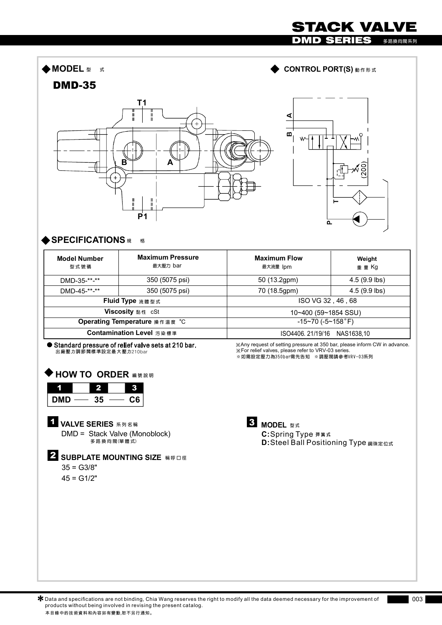## DMD SERIES **多路換向閥系列** ◆ MODEL 型 式 ◆ CONTROL PORT(S) <sub>動作形式</sub> **DMD-35 T1** ⋖  $\mathbf{m}$ **B A P1**  $\overline{a}$ **SPECIFICATIONS 規格** I  $\mathsf{l}$ **Maximum Pressure** I **Maximum Flow Model Number Weight 最大壓力** bar **型 式 號 碼 最大流量** lpm **重 量** Kg

| <b>Model Number</b><br>型式號碼   | <b>Maximum Pressure</b><br>最大壓力 bar | <b>Maximum Flow</b><br>最大流量  pm | Weight<br>重 量 Kg |  |
|-------------------------------|-------------------------------------|---------------------------------|------------------|--|
| DMD-35-**-**                  | 350 (5075 psi)                      | 50 (13.2gpm)                    | $4.5(9.9$ lbs)   |  |
| DMD-45-**-**                  | 350 (5075 psi)                      | 70 (18.5gpm)                    | $4.5(9.9$ lbs)   |  |
| Fluid Type 流體型式               |                                     | ISO VG 32, 46, 68               |                  |  |
| Viscosity 黏性 cSt              |                                     | 10~400 (59~1854 SSU)            |                  |  |
| Operating Temperature 操作溫度 °C |                                     | $-15-70$ ( $-5-158$ °F)         |                  |  |
| Contamination Level 污染標準      |                                     | ISO4406, 21/19/16<br>NAS1638,10 |                  |  |

Standard pressure of relief valve sets at 210 bar. 出廠壓力調節閥標準設定最大壓力210bar

**※如需設定壓力為3 50 b ar需先告知 ※調壓閥請參考VR V- 0 3系列** ≫Any request of setting pressure at 350 bar, please inform CW in advance.<br>≫For relief valves, please refer to VRV-03 series.

STACK VALVE

## **HOW TO ORDER 編號說明**

| <b>DMD</b> | 35 | C6 |
|------------|----|----|

DMD = Stack Valve (Monoblock) **1 VALVE SERIES** 系列名稱 **多 路 換 向 閥(單 體 式)**

**2** SUBPLATE MOUNTING SIZE 補呼口徑  $35 = G3/8"$ 

 $45 = G1/2"$ 

**3 MODEL** 型式 **C:**Spring Type 彈簧式 **D:**Steel Ball Positioning Type **鋼珠定位式**